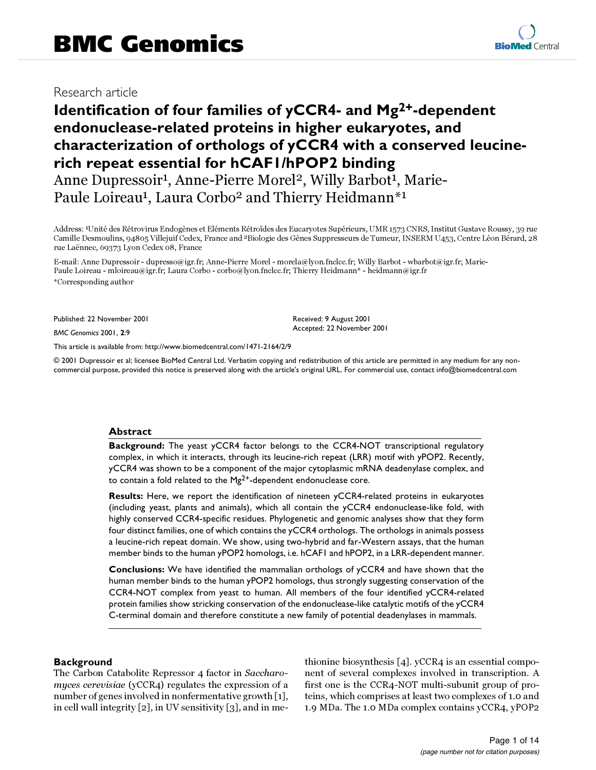# Research article

# **Identification of four families of yCCR4- and Mg2+-dependent endonuclease-related proteins in higher eukaryotes, and characterization of orthologs of yCCR4 with a conserved leucinerich repeat essential for hCAF1/hPOP2 binding**

Anne Dupressoir<sup>1</sup>, Anne-Pierre Morel<sup>2</sup>, Willy Barbot<sup>1</sup>, Marie-Paule Loireau<sup>1</sup>, Laura Corbo<sup>2</sup> and Thierry Heidmann<sup>\*1</sup>

Address: 1Unité des Rétrovirus Endogènes et Eléments Rétroïdes des Eucaryotes Supérieurs, UMR 1573 CNRS, Institut Gustave Roussy, 39 rue Camille Desmoulins, 94805 Villejuif Cedex, France and 2Biologie des Gènes Suppresseurs de Tumeur, INSERM U453, Centre Léon Bérard, 28 rue Laënnec, 69373 Lyon Cedex 08, France

E-mail: Anne Dupressoir - dupresso@igr.fr; Anne-Pierre Morel - morela@lyon.fnclcc.fr; Willy Barbot - wbarbot@igr.fr; Marie-Paule Loireau - mloireau@igr.fr; Laura Corbo - corbo@lyon.fnclcc.fr; Thierry Heidmann\* - heidmann@igr.fr \*Corresponding author

Published: 22 November 2001

*BMC Genomics* 2001, **2**:9

[This article is available from: http://www.biomedcentral.com/1471-2164/2/9](http://www.biomedcentral.com/1471-2164/2/9)

© 2001 Dupressoir et al; licensee BioMed Central Ltd. Verbatim copying and redistribution of this article are permitted in any medium for any noncommercial purpose, provided this notice is preserved along with the article's original URL. For commercial use, contact info@biomedcentral.com

# **Abstract**

**Background:** The yeast yCCR4 factor belongs to the CCR4-NOT transcriptional regulatory complex, in which it interacts, through its leucine-rich repeat (LRR) motif with yPOP2. Recently, yCCR4 was shown to be a component of the major cytoplasmic mRNA deadenylase complex, and to contain a fold related to the  $Mg^{2+}$ -dependent endonuclease core.

**Results:** Here, we report the identification of nineteen yCCR4-related proteins in eukaryotes (including yeast, plants and animals), which all contain the yCCR4 endonuclease-like fold, with highly conserved CCR4-specific residues. Phylogenetic and genomic analyses show that they form four distinct families, one of which contains the yCCR4 orthologs. The orthologs in animals possess a leucine-rich repeat domain. We show, using two-hybrid and far-Western assays, that the human member binds to the human yPOP2 homologs, i.e. hCAF1 and hPOP2, in a LRR-dependent manner.

**Conclusions:** We have identified the mammalian orthologs of yCCR4 and have shown that the human member binds to the human yPOP2 homologs, thus strongly suggesting conservation of the CCR4-NOT complex from yeast to human. All members of the four identified yCCR4-related protein families show stricking conservation of the endonuclease-like catalytic motifs of the yCCR4 C-terminal domain and therefore constitute a new family of potential deadenylases in mammals.

# **Background**

The Carbon Catabolite Repressor 4 factor in Saccharomyces cerevisiae (yCCR4) regulates the expression of a number of genes involved in nonfermentative growth [[1\]](#page-13-0), in cell wall integrity [\[2\]](#page-13-1), in UV sensitivity [[3](#page-13-2)], and in methionine biosynthesis [[4](#page-13-3)]. yCCR4 is an essential component of several complexes involved in transcription. A first one is the CCR4-NOT multi-subunit group of proteins, which comprises at least two complexes of 1.0 and 1.9 MDa. The 1.0 MDa complex contains yCCR4, yPOP2

Received: 9 August 2001 Accepted: 22 November 2001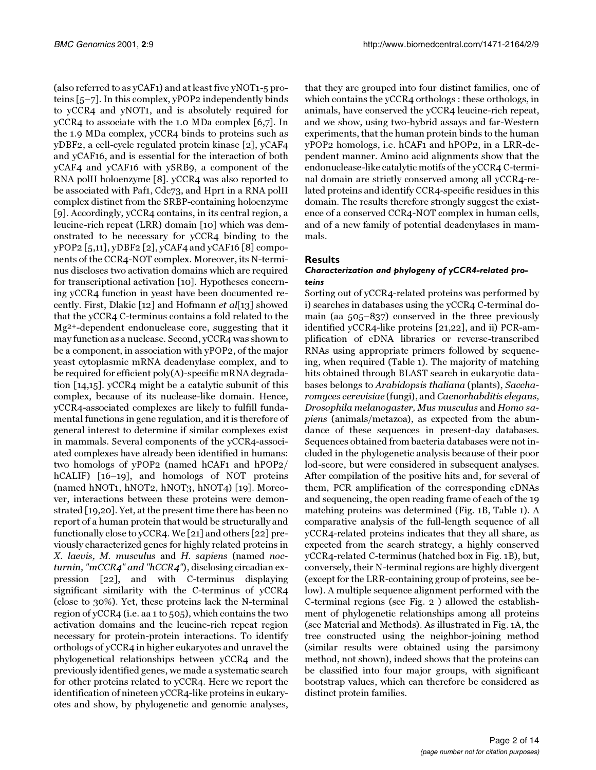(also referred to as yCAF1) and at least five yNOT1-5 proteins [[5–](#page-13-4)[7](#page-13-5)]. In this complex, yPOP2 independently binds to yCCR4 and yNOT1, and is absolutely required for yCCR4 to associate with the 1.0 MDa complex [\[6](#page-13-6)[,7](#page-13-5)]. In the 1.9 MDa complex, yCCR4 binds to proteins such as yDBF2, a cell-cycle regulated protein kinase [\[2](#page-13-1)], yCAF4 and yCAF16, and is essential for the interaction of both yCAF4 and yCAF16 with ySRB9, a component of the RNA polII holoenzyme [\[8](#page-13-7)]. yCCR4 was also reported to be associated with Paf1, Cdc73, and Hpr1 in a RNA polII complex distinct from the SRBP-containing holoenzyme [[9](#page-13-8)]. Accordingly, yCCR4 contains, in its central region, a leucine-rich repeat (LRR) domain [\[10](#page-13-9)] which was demonstrated to be necessary for yCCR4 binding to the yPOP2 [\[5](#page-13-4)[,11](#page-13-10)], yDBF2 [\[2\]](#page-13-1), yCAF4 and yCAF16 [\[8\]](#page-13-7) components of the CCR4-NOT complex. Moreover, its N-terminus discloses two activation domains which are required for transcriptional activation [\[10](#page-13-9)]. Hypotheses concerning yCCR4 function in yeast have been documented recently. First, Dlakic [[12](#page-13-11)] and Hofmann et al[\[13](#page-13-12)] showed that the yCCR4 C-terminus contains a fold related to the Mg2+-dependent endonuclease core, suggesting that it may function as a nuclease. Second, yCCR4 was shown to be a component, in association with yPOP2, of the major yeast cytoplasmic mRNA deadenylase complex, and to be required for efficient poly(A)-specific mRNA degradation [\[14](#page-13-13)[,15](#page-13-14)]. yCCR4 might be a catalytic subunit of this complex, because of its nuclease-like domain. Hence, yCCR4-associated complexes are likely to fulfill fundamental functions in gene regulation, and it is therefore of general interest to determine if similar complexes exist in mammals. Several components of the yCCR4-associated complexes have already been identified in humans: two homologs of yPOP2 (named hCAF1 and hPOP2/ hCALIF) [[16–](#page-13-15)[19\]](#page-13-16), and homologs of NOT proteins (named hNOT1, hNOT2, hNOT3, hNOT4) [\[19\]](#page-13-16). Moreover, interactions between these proteins were demonstrated [[19](#page-13-16)[,20](#page-13-17)]. Yet, at the present time there has been no report of a human protein that would be structurally and functionally close to yCCR4. We [[21](#page-13-18)] and others [[22\]](#page-13-19) previously characterized genes for highly related proteins in X. laevis, M. musculus and H. sapiens (named nocturnin, "mCCR4" and "hCCR4"), disclosing circadian expression [\[22](#page-13-19)], and with C-terminus displaying significant similarity with the C-terminus of yCCR4 (close to 30%). Yet, these proteins lack the N-terminal region of yCCR4 (i.e. aa 1 to 505), which contains the two activation domains and the leucine-rich repeat region necessary for protein-protein interactions. To identify orthologs of yCCR4 in higher eukaryotes and unravel the phylogenetical relationships between yCCR4 and the previously identified genes, we made a systematic search for other proteins related to yCCR4. Here we report the identification of nineteen yCCR4-like proteins in eukaryotes and show, by phylogenetic and genomic analyses,

that they are grouped into four distinct families, one of which contains the yCCR4 orthologs : these orthologs, in animals, have conserved the yCCR4 leucine-rich repeat, and we show, using two-hybrid assays and far-Western experiments, that the human protein binds to the human yPOP2 homologs, i.e. hCAF1 and hPOP2, in a LRR-dependent manner. Amino acid alignments show that the endonuclease-like catalytic motifs of the yCCR4 C-terminal domain are strictly conserved among all yCCR4-related proteins and identify CCR4-specific residues in this domain. The results therefore strongly suggest the existence of a conserved CCR4-NOT complex in human cells, and of a new family of potential deadenylases in mammals.

# **Results**

# <span id="page-1-0"></span>*Characterization and phylogeny of yCCR4-related proteins*

Sorting out of yCCR4-related proteins was performed by i) searches in databases using the yCCR4 C-terminal domain (aa 505–837) conserved in the three previously identified yCCR4-like proteins [[21](#page-13-18)[,22](#page-13-19)], and ii) PCR-amplification of cDNA libraries or reverse-transcribed RNAs using appropriate primers followed by sequencing, when required (Table [1](#page-1-0)). The majority of matching hits obtained through BLAST search in eukaryotic databases belongs to Arabidopsis thaliana (plants), Saccharomyces cerevisiae (fungi), and Caenorhabditis elegans, Drosophila melanogaster, Mus musculus and Homo sapiens (animals/metazoa), as expected from the abundance of these sequences in present-day databases. Sequences obtained from bacteria databases were not included in the phylogenetic analysis because of their poor lod-score, but were considered in subsequent analyses. After compilation of the positive hits and, for several of them, PCR amplification of the corresponding cDNAs and sequencing, the open reading frame of each of the 19 matching proteins was determined (Fig. [1](#page-2-0)B, Table [1](#page-1-0)). A comparative analysis of the full-length sequence of all yCCR4-related proteins indicates that they all share, as expected from the search strategy, a highly conserved yCCR4-related C-terminus (hatched box in Fig. [1](#page-2-0)B), but, conversely, their N-terminal regions are highly divergent (except for the LRR-containing group of proteins, see below). A multiple sequence alignment performed with the C-terminal regions (see Fig. [2](#page-3-0) ) allowed the establishment of phylogenetic relationships among all proteins (see Material and Methods). As illustrated in Fig. [1A](#page-2-0), the tree constructed using the neighbor-joining method (similar results were obtained using the parsimony method, not shown), indeed shows that the proteins can be classified into four major groups, with significant bootstrap values, which can therefore be considered as distinct protein families.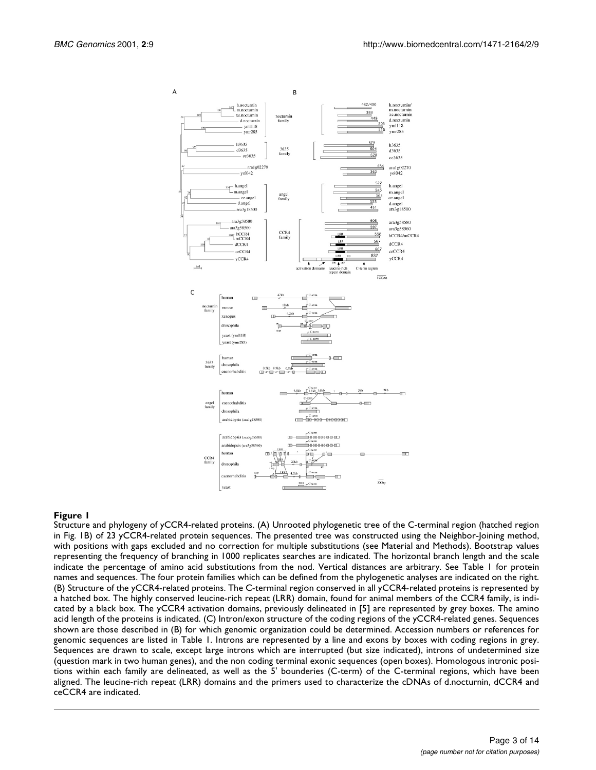

<span id="page-2-0"></span>Structure and phylogeny of yCCR4-related proteins. (A) Unrooted phylogenetic tree of the C-terminal region (hatched region in Fig. [1](#page-2-0)B) of 23 yCCR4-related protein sequences. The presented tree was constructed using the Neighbor-Joining method, with positions with gaps excluded and no correction for multiple substitutions (see Material and Methods). Bootstrap values representing the frequency of branching in 1000 replicates searches are indicated. The horizontal branch length and the scale indicate the percentage of amino acid substitutions from the nod. Vertical distances are arbitrary. See Table [1](#page-1-0) for protein names and sequences. The four protein families which can be defined from the phylogenetic analyses are indicated on the right. (B) Structure of the yCCR4-related proteins. The C-terminal region conserved in all yCCR4-related proteins is represented by a hatched box. The highly conserved leucine-rich repeat (LRR) domain, found for animal members of the CCR4 family, is indicated by a black box. The yCCR4 activation domains, previously delineated in [\[5](#page-13-4)] are represented by grey boxes. The amino acid length of the proteins is indicated. (C) Intron/exon structure of the coding regions of the yCCR4-related genes. Sequences shown are those described in (B) for which genomic organization could be determined. Accession numbers or references for genomic sequences are listed in Table [1](#page-1-0). Introns are represented by a line and exons by boxes with coding regions in grey. Sequences are drawn to scale, except large introns which are interrupted (but size indicated), introns of undetermined size (question mark in two human genes), and the non coding terminal exonic sequences (open boxes). Homologous intronic positions within each family are delineated, as well as the 5' bounderies (C-term) of the C-terminal regions, which have been aligned. The leucine-rich repeat (LRR) domains and the primers used to characterize the cDNAs of d.nocturnin, dCCR4 and ceCCR4 are indicated.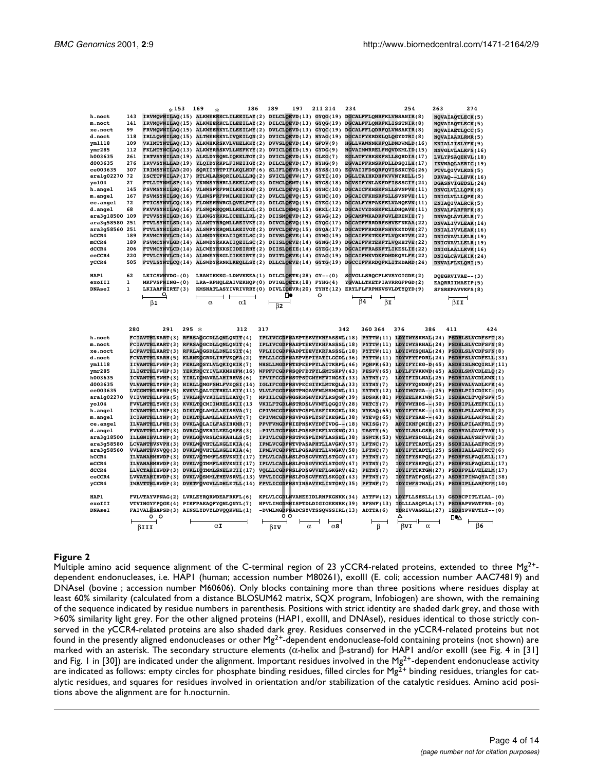| h.noct                           |              | $*153$                                                                         |         | 169<br>$\ast$ |                   | 186 | 189<br>197                                   | 211214              | 234                                                                                                | 254                                                                                                                                                      | 263                                    | 274                                |
|----------------------------------|--------------|--------------------------------------------------------------------------------|---------|---------------|-------------------|-----|----------------------------------------------|---------------------|----------------------------------------------------------------------------------------------------|----------------------------------------------------------------------------------------------------------------------------------------------------------|----------------------------------------|------------------------------------|
|                                  | 143          |                                                                                |         |               |                   |     |                                              |                     | IRVMOWNILAQ(15) ALKWEERKCLILEEILAY(2) DILCLOEVD(13) GYQG(19) DGCALFFLONRFKLVNSANIR(8)              |                                                                                                                                                          | <b>NOVAIAOTLECK(5)</b>                 |                                    |
| m.noct                           | 141          | IRVMOWNILAO (15)                                                               |         |               |                   |     | ALKWEERKCLILEEILAY(2) DILCLOEVD(13)          | GYOG(19)            | DGCALFFLONRFKLISSTNIR(8)                                                                           |                                                                                                                                                          | <b>NOVAIAOTLECK(5)</b>                 |                                    |
| xe.noct                          | 99           | FRVMOWNILAO (15)                                                               |         |               |                   |     |                                              |                     | ALKWEERKYLILEEILMY(2) DVLCLQEVD(13) GYQC(19) DGCALFFLQDRFQLVNSAKIR(8)                              |                                                                                                                                                          | NOVAIAETLOCC(5)                        |                                    |
| d.noct                           | 118          | IRLLOWNILSO(15)                                                                |         |               |                   |     | ALTWEHRKYLIVQEILQN(2) DVICLQEVD(12)          | <b>NYAG(19)</b>     | DGCAIFYKRDKLQLQGYDTRI(8)                                                                           |                                                                                                                                                          | <b>NOVAIAARLRMR(5)</b>                 |                                    |
| ym1118                           | 109          | VKIMTYNTLAO(13)                                                                |         |               |                   |     | ALKWHKRSKVLVHELKKY(2) DVVSLOEVD(14)          | GFDV(9)             |                                                                                                    | HGLLVAWNNKKFOLDNDWMLD (16)                                                                                                                               | KNIALIISLYFK(9)                        |                                    |
| ymr285                           | 112          | FKLMTYNCLAO(13)                                                                |         |               |                   |     | ALKWYRRSKVLLNEFKYY(2) DVICLOEID(15)          | GYDG(9)             |                                                                                                    | HGVAIMWRRELFHQVDKMLID(15)                                                                                                                                | <b>NNVGLVLALKFS(16)</b>                |                                    |
| h003635                          | 261          | IRTVSYNILAD(19)                                                                |         |               |                   |     | ALELDYRONLIQKELTGY(2) DVICLOEVD(15)          | GLEG(7)             |                                                                                                    | EGLATFYRKSKFSLLSQHDIS(17)                                                                                                                                | LVLYPSAQEKVL(18)                       |                                    |
| d003635                          | 276          | IRVVSYNLLAD(19)                                                                |         |               |                   |     | YLOIDYRKPLFINEIIGY(2) DILCLOEVD(17)          | <b>NYHG(9)</b>      |                                                                                                    | EGVAIFFRNSRFDLLDSQILH(17)                                                                                                                                | IKVNAQLAERIC(19)                       |                                    |
| ce003635                         | 307          | IRIMSYNILAD(20)                                                                |         |               |                   |     |                                              |                     | SQRIIYRTPIFLKQLHDF(6) SLIFLQEVD(15) SYSS(10) EGVAIIFDSQRFQVISSKCYG(26)                             |                                                                                                                                                          | PTVLQIVVLKDS(5)                        |                                    |
| ara1g02270 72                    |              | ISCTTFNILAP(17)                                                                |         |               |                   |     |                                              |                     | RTLWLARNORILDLLLHO(2) SVICLOEVW(17) GYTI(10) DGLLTAIHKDHFKVVNYRELL(5)                              |                                                                                                                                                          | DRVAO--LLHVK (16)                      |                                    |
| yo104                            | 27           | FTLLTYNMLSP(14)                                                                |         |               |                   |     | YKNWSYRHRLLEKELLNT(3) DIMCLOEMT(16)          | <b>NYGS(18)</b>     |                                                                                                    | DGVSIFYNLAKFDFISSSGIY(24)                                                                                                                                | DGASNVIGEDSL(24)                       |                                    |
| h.anqel                          | 145          | FSVMSYNILSO(16)                                                                |         |               |                   |     |                                              |                     | VLHWSFRFPNILKEIKHF(2) DVLCLOEVO(15) GYHC(10) DGCAICFKHSKFSLLSVNPVE(11)                             |                                                                                                                                                          | DNVGLVLLLQPK(8)                        |                                    |
| <b>m.angel</b>                   | 167          | FSVMSYNILSO(16)                                                                |         |               |                   |     |                                              |                     | VLHWSFRFPNILKEIKHF(2) DVLCLOEVO(15) GYHC(10) DGCAICFKHSRFSLLSVNPVE(11)                             |                                                                                                                                                          | DNIGLVLLLQPK(8)                        |                                    |
| ce.angel                         | 72           | FTICSYNVLCQ(18)                                                                |         |               |                   |     | FLDWEHRWRGLQVELPTF(2) DILGLQEVQ(15)          |                     | GYEG(12) DGCALFYHPAKFELVANQEVN(11)                                                                 |                                                                                                                                                          | ENIAQIVALRCR(5)                        |                                    |
| d.angel<br>ara3g18500 109        | 68           | FKVVSYNILAO(16)<br>FTVVSYNILGD(16)                                             |         |               |                   |     | FLSWQRRQQNLLRELLKL(2) DILCLQEMQ(15) GKKL(12) |                     | DGCAIVYDSSKFELLDHOAVE(11)<br>YLKWGYRKRLICEELIRL(2) DIISMOEVD(12) GYAG(12) DGCAMFWKADRFGVLERENIE(7) |                                                                                                                                                          | DNVALFARFRFK(8)                        |                                    |
|                                  |              | FTVLSYNILSD(14)                                                                |         |               |                   |     |                                              |                     | ALAWTYRRONLLREIVKY(2) DIVCLOEVO(15) GYOG(17) DGCATFFRRDRFSHVEFNKAA(22)                             |                                                                                                                                                          | DNVAQLAVLELR(7)                        |                                    |
| ara3g58580 251<br>ara3g58560 251 |              | FTVLSYNILSD(14)                                                                |         |               |                   |     |                                              |                     | ALSWPYRRONLLREIVGY(2) DVVCLOEVO(15) GYOA(17) DGCATFFRRDRFSHVKKYDVE(27)                             |                                                                                                                                                          | DNVALIVVLEAK (14)<br>DNIALIVVLEAK (16) |                                    |
| hCCR4                            | 189          | FSVMCYNVLCD(14)                                                                |         |               |                   |     |                                              |                     | ALNWDYRKKAIIQEILSC(2) DIVSLQEVE(14) GYNG(19) DGCAIFFKTEKFTLVQKHTVE(22)                             |                                                                                                                                                          | DNIGVAVLLELR(19)                       |                                    |
| mCCR4                            | 189          | FSVMCYNVLGD(14)                                                                |         |               |                   |     |                                              |                     | ALNWDYRKKAIIQEILSC(2) DIISLQEVE(14) GYNG(19) DGCAIFFKTEKFTLVQKHTVE(22)                             |                                                                                                                                                          | DNIGVAVLLELR(19)                       |                                    |
| dCCR4                            | 206          | FTVMCYNVLCD(14)                                                                |         |               |                   |     |                                              |                     | ALCWEYRKKSIIDEIRHY(2) DIISLOEIE(14) GYEG(19) DGCAIFFRASKFTLIKESLIE(22)                             |                                                                                                                                                          | DNIGLAALLKVK(16)                       |                                    |
| ceCCR4                           | 220          | <b>FTVLCYNVLCD(14)</b>                                                         |         |               |                   |     |                                              |                     | ALNWEYRKGLIIKEIRTY(2) DVITLOEVE(14) GYAG(19) DGCAIFWKVDKFDMDKQYLFE(22)                             |                                                                                                                                                          | DNIGLCAVLKIK(24)                       |                                    |
| yCCR4                            | 505          |                                                                                |         |               |                   |     |                                              |                     | FTVLSYNTLCO(14) ALSWDYRRNKLKEOLLSY(2) DLLCLOEVE(14) GYTG(19) DGCCIFFKRDOFKLITKDAMD(24)             |                                                                                                                                                          | DNVALFLKLOHI(5)                        |                                    |
|                                  |              |                                                                                |         |               |                   |     |                                              |                     |                                                                                                    |                                                                                                                                                          |                                        |                                    |
| HAP1                             | 62           | LKICSWNVDG-(0)                                                                 |         |               |                   |     | LRAWIKKKG-LDWVKEEA(1) DILCLOETK(28) GY--(0)  |                     | SGVGLLSROCPLKVSYGIGDE(2)                                                                           |                                                                                                                                                          | DOEGRVIVAE--(3)                        |                                    |
| exoIII                           | $\mathbf{1}$ | MKFVSFNING-(0)                                                                 |         |               |                   |     | LRA-RPHQLEAIVEKHQP(0) DVIGLQETK(18) FYHG(4)  |                     | YGVALLTKETPIAVRRGFPGD(2)                                                                           |                                                                                                                                                          | EAQRRIIMAEIP(5)                        |                                    |
| <b>DNAseI</b>                    | $\mathbf{1}$ | LKIAAFNIRTF(3)                                                                 |         |               |                   |     |                                              |                     | KMSNATLASYIVRIVRRY(0) DIVLIOEVR(20) TYHY(12) ERYLFLFRPNKVSVLDTYQYD(9)                              |                                                                                                                                                          | SFSREPAVVKFS(8)                        |                                    |
|                                  |              |                                                                                |         |               |                   |     | ▯◕                                           | o                   |                                                                                                    |                                                                                                                                                          |                                        |                                    |
|                                  |              | $\frac{Q}{\beta 1}$                                                            |         | α             | $\alpha$ 1        |     | $\overline{B}2$                              |                     | $\overrightarrow{\beta 4}$ $\overrightarrow{\beta 1}$                                              |                                                                                                                                                          | BII                                    |                                    |
|                                  |              |                                                                                |         |               |                   |     |                                              |                     |                                                                                                    |                                                                                                                                                          |                                        |                                    |
|                                  |              |                                                                                |         |               |                   |     |                                              |                     |                                                                                                    |                                                                                                                                                          |                                        |                                    |
|                                  |              |                                                                                |         |               |                   |     |                                              |                     |                                                                                                    |                                                                                                                                                          |                                        |                                    |
|                                  |              |                                                                                |         |               |                   |     |                                              |                     |                                                                                                    |                                                                                                                                                          |                                        |                                    |
|                                  | 280          | 291                                                                            | $295 *$ |               | 312               | 317 |                                              |                     | 342<br>360 364                                                                                     | 376<br>386                                                                                                                                               | 411                                    | 424                                |
|                                  |              |                                                                                |         |               |                   |     |                                              |                     |                                                                                                    |                                                                                                                                                          |                                        |                                    |
| h.noct<br>m.noct                 |              | FCIAVTHLKART(3) RFRSAOGCDLLONLONIT(4)<br>FCIAVTHLKART(3) RFRSAOGCDLLONLONIT(4) |         |               |                   |     |                                              |                     |                                                                                                    | IPLIVCGDFNAEPTEEVYKHFASSNL(18) PYTTW(11) LDYIWYSKHAL(24) PSDHLSLVCDFSFT(8)<br>IPLIVCGDFNAEPTEEVYKHFASSSL(18) PYTTW(11) LDYIWYSRHAL(24) PSDHLSLVCDFSFN(8) |                                        |                                    |
| xe.noct                          |              | LCFAVTHLKART(3) RFRLAQGSDLLDNLESIT(4)                                          |         |               |                   |     |                                              |                     |                                                                                                    | VPLIICGDFNADPTEEVYKRFASSSL(18) PYTTW(11) LDYIWYSQHAL(24) PSDHLSLVCDFSFN(8)                                                                               |                                        |                                    |
| d.noct                           |              | FCVATTHLKARH(5) KLRNEQGRDLIRFVKQFA(2)                                          |         |               |                   |     | TPLLLCGDFNAEPVEPIYATILGCDL(36)               |                     | PYTTW(11)                                                                                          |                                                                                                                                                          |                                        | IDYVFYTPDRL(24) PSDHFSLVCDFELL(33) |
| ym1118                           |              | IIVANTHLFWHP(3) FERLROSYLVLOKIOEIK(7)                                          |         |               |                   |     |                                              |                     |                                                                                                    | WHSLLMGDFNTEPEEPPYLAITKRPL(46) PONPK(63) LDYIFYIEG-D(45) ASDHISLMCOIRLF(11)                                                                              |                                        |                                    |
| ymr285                           |              | ILIGTTHLFWHP(3) YERTROCYIVLKKMKEFM(16)                                         |         |               |                   |     |                                              |                     |                                                                                                    | WFPFFCGDFNSOPFDTPYLSMTSKPV(43) PESPV(65) LDYLFYVKKWD(45) ASDHLSMVCDLELQ(2)                                                                               |                                        |                                    |
| h003635                          |              | ICVANTHLYWHP(3) YIRLIOMAVALAHIRHVS(6)                                          |         |               |                   |     |                                              |                     | IPVIFCGDFNSTPSTGMYHFVINGSI(33) AYTNY(7)                                                            | LDYIFIDLNAL(25)                                                                                                                                          |                                        | <b>PSDHIALVCDLKWK(1)</b>           |
| d003635                          |              | VLVANTHLYFHP(3) HIRLLOMGFSMLFVEOSI(14)                                         |         |               |                   |     | IGLIFCGDFNSVPECGIYKLMTEQLA(33)               |                     | EYTHY(7)                                                                                           |                                                                                                                                                          |                                        | LDYVFYONDRF(25) PSDHVALVADLKFK(4)  |
| ce003635                         |              | LVCGNTHLHHNP(5) KVKVLQALTCTRKLLEIY(11)                                         |         |               |                   |     |                                              |                     | VLVLFGGDFNSTPNGAVFNLMSMGNL(31) EYTNY(12)                                                           |                                                                                                                                                          |                                        | LDYIWGVGA--(25) PSDHLPIICDIKI-(0)  |
| ara1q02270                       |              | VIIVNTHLLFPH(5) IVRLHOVYKILEYLEAYO(7)                                          |         |               |                   |     | MPIILCGDWNGSKRGHVYKFLRSOGF(39)               |                     | SDSRK(81)                                                                                          | FDYEELKKIWN(51)                                                                                                                                          |                                        | ISDHACLTVOFSPV(5)                  |
| yo104                            |              | FVVLNTHLYWKY(3) KVKLTOCMIIMRELSKII(13                                          |         |               |                   |     | VKILFTGDLNSTRDSLVVNFLQGQIV(28)               |                     | VHTCY(7)                                                                                           |                                                                                                                                                          |                                        | FDYVWYHDS--(30) PSDHIPLLTEFKIL(1)  |
| <b>h.angel</b>                   |              | ICVANTHLLYNP(3) DIKLTQLAMLLAEISSVA(7)                                          |         |               |                   |     |                                              |                     | CPIVMCGDFNSVPGSPLYSFIKEGKL(38) VYEAQ(65)                                                           |                                                                                                                                                          |                                        | VDYIFYTAK--(43) SSDHLPLLAKFRLE(2)  |
| <b>m.angel</b>                   |              | ICIANTHLLYNP(3) DIKLTOLAMLLAEIANVT(7)                                          |         |               |                   |     | CPIVMCGDFNSVPGSPLYSFIKEGKL(38)               |                     | <b>VYEVO</b> (65)                                                                                  | $VDYIFYSAE--(43)$                                                                                                                                        |                                        | SSDHLPLLAKFRLE(2)                  |
| ce.angel                         |              | ILVANTHLLFNE(3) DVKLAOLAILFASIHKMR(7)                                          |         |               |                   |     | PPVFVMGDFNIEPNSKVYDFIVDG--(18)               |                     | WKISG(7)                                                                                           |                                                                                                                                                          |                                        | ADYIKNFONIE(27) PSDHLPILAKFRLI(9)  |
| d.angel                          |              | FVVATTHLLFNT(3) DVRCAQVERILEELOSFS(3)                                          |         |               |                   |     | -PIVLTGDFNSLPDSSPIEFLVGKNG(21)               |                     | TASTY(6)                                                                                           |                                                                                                                                                          |                                        | VDYILRSLGSR(30) GSDHYALGAVFTAV(1)  |
| ara3q18500                       |              | ILLGNIHVLYNP(3) DVKLGQVRSLCSKAHLLS(5)                                          |         |               |                   |     | IPIVLCGDFNSTPKSPLYNFLASSEL(38)               |                     | <b>SSWTK(53)</b>                                                                                   | <b>VDYLWYSDGLL(24)</b>                                                                                                                                   |                                        | <b>GSDHLALVSEFVFE(3)</b>           |
| ara3g58580                       |              | LCVANTHVNVPH(3) DVKLWQVHTLLKGLEKIA(4)                                          |         |               |                   |     | IPMLVCGDFNTVPASAPHTLLAVGKV(57)               |                     | LFTNC(7)                                                                                           | LDYIFYTADTL(25)                                                                                                                                          |                                        | SSDHIALLAEFRCM(9)                  |
| ara3g58560                       |              | VVLANTHVNVOO(3) DVKLWOVHTLLKGLEKIA(4)                                          |         |               |                   |     |                                              |                     | IPMLVCGDFNTLPGSAPHTLLVMGKV(58) LFTNC(7)                                                            |                                                                                                                                                          |                                        | HDYIFYTADTL(25) SSNHIALLAEFRCT(6)  |
| hCCR4                            |              | ILVANAHMHWDP(3) DVKLVOTMMFLSEVKNII(17)                                         |         |               |                   |     | IPLVLCADLNSLPDSGVVEYLSTGGV(47)               |                     | PYTNY(7)                                                                                           | IDYIFYSKPOL(27)                                                                                                                                          |                                        | PSDHFSLFAQLELL(17)                 |
| mCCR4                            |              | ILVANAHMHWDP(3) DVKLVOTMMFLSEVKNII(17)                                         |         |               |                   |     | IPLVLCADLNSLPDSGVVEYLSTGGV(47)               |                     | PYTNY(7)                                                                                           |                                                                                                                                                          |                                        | IDYIFYSKPOL(27) PSDHFSLFAOLELL(17) |
| dCCR4                            |              | LLVCTAHIHWDP(3) DVKLIQTMMLSNELKTII(17)                                         |         |               |                   |     | VOLLLCGDFNSLPDSGVVEFLGKGRV(42)               |                     | PHTNY(7)                                                                                           |                                                                                                                                                          |                                        | IDYIFYTKTGM(27) PSDHFPLLVELELM(17) |
| ceCCR4                           |              | LVVATAHIHWDP(3) DVKLVOSMMLTHEVSRVL(13)                                         |         |               |                   |     | VPVLICGDFNSLPDSGVFEYLSKGQI(43)               |                     | PFTNY(7)                                                                                           |                                                                                                                                                          |                                        | IDYIFATPOSL(27) ASDHIPIMAQYAII(38) |
| yCCR4                            |              | IWAVTTHLHWDP(3) DVKTFOVGVLLDHLETLL(14)                                         |         |               |                   |     | FPVLICGDFNSYINSAVYELINTGRV(35)               |                     | PFTNF(7)                                                                                           |                                                                                                                                                          |                                        | IDYIWFSTHAL(25) PSDHIPLLARFEFM(10) |
|                                  |              |                                                                                |         |               |                   |     |                                              |                     |                                                                                                    |                                                                                                                                                          |                                        |                                    |
| <b>HAP1</b><br>exoIII            |              | FVLVTAYVPNAG(2) LVRLEYRQRWDEAFRKFL(6)<br>VTVINGYFPOGE(4) PIKFPAKAOFYONLONYL(7) |         |               |                   |     |                                              |                     |                                                                                                    | KPLVLCGDLNVAHEEIDLRNPKGNKK(34) AYTFW(12) LDYFLLSHSLL(13) GSDHCPITLYLAL-(0)<br>NPVLIMGDMNISPTDLDIGIGEENRK(39) RFSWF(13) IDLLLASOPLA(17) PSDHAPVWATFRR-(0) |                                        |                                    |
| <b>DNAseI</b>                    |              | FAIVALHSAPSD(3) AINSLYDVYLDVOOKWHL(1)                                          |         |               |                   |     |                                              |                     | -DVMLMGDFNADCSYVTSSOWSSIRL(13) ADTTA(6)                                                            |                                                                                                                                                          |                                        | YDRIVVAGSLL(27) ISDHYPVEVTLT--(0)  |
|                                  |              | o o                                                                            |         |               |                   |     | o o                                          |                     |                                                                                                    |                                                                                                                                                          |                                        |                                    |
|                                  |              | $\overline{\phantom{0}}$<br>BIII                                               |         |               | $\alpha$ <b>I</b> |     | $\overline{\phantom{0}}$                     | $\overline{\alpha}$ |                                                                                                    | $\frac{1}{\beta \mathbf{v} \mathbf{I}}$                                                                                                                  | ⊡●∆                                    | B6                                 |

<span id="page-3-0"></span>Multiple amino acid sequence alignment of the C-terminal region of 23 yCCR4-related proteins, extended to three Mg<sup>2+</sup>dependent endonucleases, i.e. HAP1 (human; accession number M80261), exoIII (E. coli; accession number AAC74819) and DNAseI (bovine ; accession number M60606). Only blocks containing more than three positions where residues display at least 60% similarity (calculated from a distance BLOSUM62 matrix, SQX program, Infobiogen) are shown, with the remaining of the sequence indicated by residue numbers in parenthesis. Positions with strict identity are shaded dark grey, and those with >60% similarity light grey. For the other aligned proteins (HAP1, exoIII, and DNAseI), residues identical to those strictly conserved in the yCCR4-related proteins are also shaded dark grey. Residues conserved in the yCCR4-related proteins but not found in the presently aligned endonucleases or other  $Mg^{2+}$ -dependent endonuclease-fold containing proteins (not shown) are marked with an asterisk. The secondary structure elements (α-helix and β-strand) for HAP1 and/or exoIII (see Fig. [4](#page-8-0) in [[31\]](#page-13-20) and Fig. [1](#page-2-0) in [\[30\]](#page-13-21)) are indicated under the alignment. Important residues involved in the Mg<sup>2+</sup>-dependent endonuclease activity are indicated as follows: empty circles for phosphate binding residues, filled circles for Mg<sup>2+</sup> binding residues, triangles for catalytic residues, and squares for residues involved in orientation and/or stabilization of the catalytic residues. Amino acid positions above the alignment are for h.nocturnin.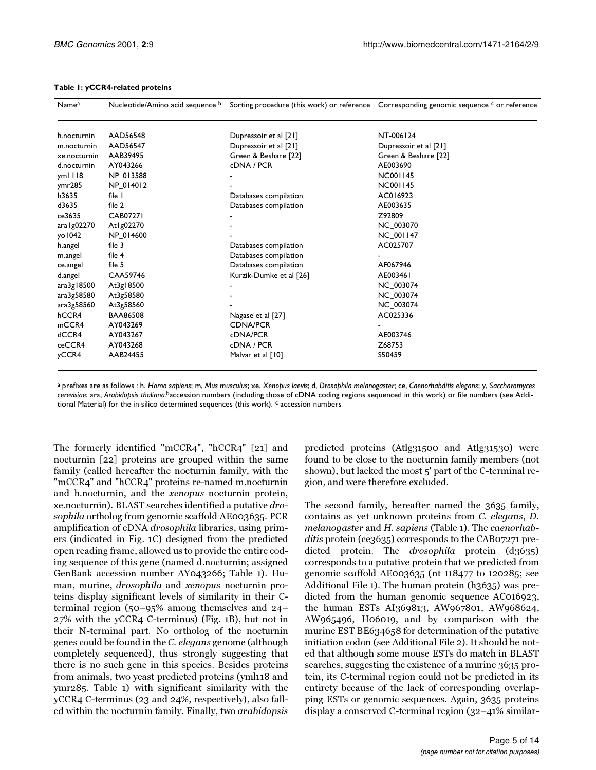| Name <sup>a</sup> | Nucleotide/Amino acid sequence b |                         | Sorting procedure (this work) or reference Corresponding genomic sequence <sup>c</sup> or reference |
|-------------------|----------------------------------|-------------------------|-----------------------------------------------------------------------------------------------------|
| h.nocturnin       | AAD56548                         | Dupressoir et al [21]   | NT-006124                                                                                           |
| m.nocturnin       | AAD56547                         | Dupressoir et al [21]   | Dupressoir et al [21]                                                                               |
| xe.nocturnin      | AAB39495                         | Green & Beshare [22]    | Green & Beshare [22]                                                                                |
| d.nocturnin       | AY043266                         | cDNA / PCR              | AE003690                                                                                            |
| ym III8           | NP 013588                        |                         | <b>NC001145</b>                                                                                     |
| ymr285            | NP_014012                        |                         | <b>NC001145</b>                                                                                     |
| h3635             | file I                           | Databases compilation   | AC016923                                                                                            |
| d3635             | file 2                           | Databases compilation   | AE003635                                                                                            |
| ce3635            | <b>CAB07271</b>                  |                         | Z92809                                                                                              |
| ara   g02270      | At1g02270                        |                         | NC 003070                                                                                           |
| yo 1042           | NP_014600                        |                         | <b>NC 001147</b>                                                                                    |
| h.angel           | file 3                           | Databases compilation   | AC025707                                                                                            |
| m.angel           | file 4                           | Databases compilation   |                                                                                                     |
| ce.angel          | file 5                           | Databases compilation   | AF067946                                                                                            |
| d.angel           | CAA59746                         | Kurzik-Dumke et al [26] | AE003461                                                                                            |
| ara3g18500        | At3g18500                        |                         | NC_003074                                                                                           |
| ara3g58580        | At3g58580                        |                         | NC 003074                                                                                           |
| ara3g58560        | At3g58560                        |                         | NC 003074                                                                                           |
| hCCR4             | <b>BAA86508</b>                  | Nagase et al [27]       | AC025336                                                                                            |
| mCCR4             | AY043269                         | <b>CDNA/PCR</b>         |                                                                                                     |
| dCCR4             | AY043267                         | cDNA/PCR                | AE003746                                                                                            |
| ceCCR4            | AY043268                         | cDNA / PCR              | Z68753                                                                                              |
| yCCR4             | AAB24455                         | Malvar et al [10]       | S50459                                                                                              |

#### **Table 1: yCCR4-related proteins**

a prefixes are as follows : h. *Homo sapiens*; m, *Mus musculus*; xe, *Xenopus laevis*; d, *Drosophila melanogaster*; ce, *Caenorhabditis elegans*; y, *Saccharomyces cerevisiae*; ara, *Arabidopsis thaliana.*baccession numbers (including those of cDNA coding regions sequenced in this work) or file numbers (see Additional Material) for the in silico determined sequences (this work). <sup>c</sup> accession numbers

The formerly identified "mCCR4", "hCCR4" [[21](#page-13-18)] and nocturnin [\[22\]](#page-13-19) proteins are grouped within the same family (called hereafter the nocturnin family, with the "mCCR4" and "hCCR4" proteins re-named m.nocturnin and h.nocturnin, and the xenopus nocturnin protein, xe.nocturnin). BLAST searches identified a putative drosophila ortholog from genomic scaffold AE003635. PCR amplification of cDNA drosophila libraries, using primers (indicated in Fig. [1](#page-2-0)C) designed from the predicted open reading frame, allowed us to provide the entire coding sequence of this gene (named d.nocturnin; assigned GenBank accession number AY043266; Table [1](#page-1-0)). Human, murine, drosophila and xenopus nocturnin proteins display significant levels of similarity in their Cterminal region (50–95% among themselves and 24– 27% with the yCCR4 C-terminus) (Fig. [1B](#page-2-0)), but not in their N-terminal part. No ortholog of the nocturnin genes could be found in the C. elegans genome (although completely sequenced), thus strongly suggesting that there is no such gene in this species. Besides proteins from animals, two yeast predicted proteins (yml118 and ymr285. Table [1\)](#page-1-0) with significant similarity with the yCCR4 C-terminus (23 and 24%, respectively), also falled within the nocturnin family. Finally, two arabidopsis

predicted proteins (Atlg31500 and Atlg31530) were found to be close to the nocturnin family members (not shown), but lacked the most 5' part of the C-terminal region, and were therefore excluded.

The second family, hereafter named the 3635 family, contains as yet unknown proteins from C. elegans, D. melanogaster and H. sapiens (Table [1](#page-1-0)). The caenorhabditis protein (ce3635) corresponds to the CAB07271 predicted protein. The *drosophila* protein (d3635) corresponds to a putative protein that we predicted from genomic scaffold AE003635 (nt 118477 to 120285; see Additional File [1](#page-12-0)). The human protein (h3635) was predicted from the human genomic sequence AC016923, the human ESTs AI369813, AW967801, AW968624, AW965496, H06019, and by comparison with the murine EST BE634658 for determination of the putative initiation codon (see Additional File [2](#page-12-1)). It should be noted that although some mouse ESTs do match in BLAST searches, suggesting the existence of a murine 3635 protein, its C-terminal region could not be predicted in its entirety because of the lack of corresponding overlapping ESTs or genomic sequences. Again, 3635 proteins display a conserved C-terminal region (32–41% similar-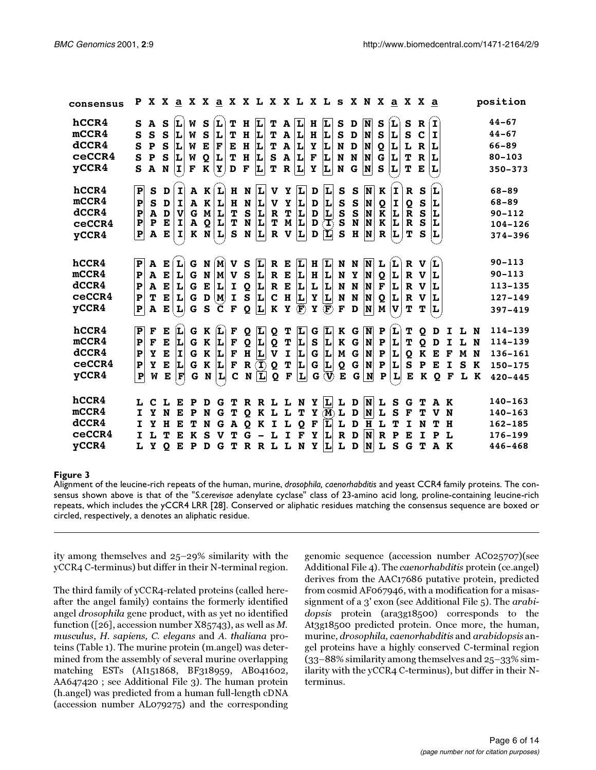| consensus                                  | P                                                               |                                                                  |                                  |                                       |                                            |                                            |                                                                                |                                  |                                       |                                              |                                         |                                                                  | X X <u>a</u> X X <u>a</u> X X L X X L X L s X N X <u>a</u> X X <u>a</u> |                                          |                                                    |                                                                   |                                                       |                                             |                                  |                                  |                                                   |                                                       |                                  |             |                         |                  | position                                                              |
|--------------------------------------------|-----------------------------------------------------------------|------------------------------------------------------------------|----------------------------------|---------------------------------------|--------------------------------------------|--------------------------------------------|--------------------------------------------------------------------------------|----------------------------------|---------------------------------------|----------------------------------------------|-----------------------------------------|------------------------------------------------------------------|-------------------------------------------------------------------------|------------------------------------------|----------------------------------------------------|-------------------------------------------------------------------|-------------------------------------------------------|---------------------------------------------|----------------------------------|----------------------------------|---------------------------------------------------|-------------------------------------------------------|----------------------------------|-------------|-------------------------|------------------|-----------------------------------------------------------------------|
| hCCR4<br>mcCR4<br>dCCR4<br>ceCCR4<br>yCCR4 | S<br>S<br>S<br>S<br>S                                           | $\mathbf{A}$<br>S<br>$\mathbf{P}$<br>$\mathbf P$<br>$\mathbf{A}$ | S<br>S<br>S<br>S<br>N            | Ĺ.<br>L<br>L<br>IL.<br>$ \mathbf{I} $ | W<br>W<br>W<br>W<br>F                      | S<br>S<br>${\bf E}$<br>Q<br>K              | L<br>L<br>F<br>L<br>Y                                                          | т<br>т<br>Е<br>т<br>D            | н<br>H<br>H<br>H<br>F                 | L<br>L<br>L<br>L<br>L                        | т<br>Т<br>T<br>${\bf S}$<br>т           | A<br>$\, {\bf A}$<br>$\, {\bf A}$<br>$\, {\bf A}$<br>$\mathbf R$ | L<br>L<br>L<br>L<br>$ \mathbf{L} $                                      | H<br>$\bf H$<br>Y<br>F<br>$\mathbf Y$    | L<br>L<br>L<br>L<br>L                              | S<br>S<br>N<br>N<br>N                                             | D<br>D<br>$\mathbf D$<br>N<br>$\mathbf G$             | N<br>N<br>N<br>N)<br>N                      | S<br>S<br>$\bf{Q}$<br>G<br>S     | L<br>L<br>L<br>L<br>L            | S<br>S<br>L<br>т<br>т                             | $\mathbf R$<br>$\mathbf c$<br>$\mathbf R$<br>R<br>E   | $\mathbf{I}$<br>I<br>L<br>L<br>L |             |                         |                  | $44 - 67$<br>$44 - 67$<br>66-89<br>$80 - 103$<br>$350 - 373$          |
| hCCR4<br>mcCR4<br>dCCR4<br>ceCCR4<br>yCCR4 | $\mathbf P$<br>$\mathbf P$<br>P<br>P<br>P                       | S<br>S<br>A<br>$\mathbf P$<br>A                                  | D<br>D<br>D<br>Е<br>Е            | $\mathbf{I}$<br>I<br>V<br>Ι<br>I      | A<br>A<br>$\mathbf G$<br>A<br>K            | K<br>K<br>M<br>Q<br>N                      | L<br>L<br>L<br>L<br>L                                                          | H<br>H<br>T<br>T<br>S            | N<br>N<br>S<br>N<br>N                 | L<br>L<br>L<br>L<br>L                        | V<br>V<br>R<br>Т<br>R                   | Y<br>Y<br>T<br>M<br>V                                            | L<br>L<br>$\frac{\mathbf{L}}{\mathbf{L}}$<br>L                          | D<br>D<br>D<br>D<br>D                    | L<br>L<br>$\frac{1}{\text{T}}$<br>$ \mathbf{L} $   | $\mathbf{s}$<br>${\bf S}$<br>$\overline{\mathbf{s}}$<br>${\bf S}$ | S<br>S<br>S<br>N<br>$\bf H$                           | N<br>N<br>N<br>N<br>N                       | K<br>Q<br>K<br>K<br>R            | $\mathbf{I}$<br>I<br>L<br>L<br>L | $\mathbf R$<br>Q<br>$\ddot{\mathbf{R}}$<br>R<br>т | S<br>S<br>$\bar{s}$<br>S<br>S                         | L<br>L<br>L<br>L<br>L            |             |                         |                  | 68-89<br>68-89<br>$90 - 112$<br>$104 - 126$<br>374-396                |
| hCCR4<br>mcCR4<br>dCCR4<br>ceCCR4<br>yCCR4 | $\mathbf P$<br>P<br>P<br>P<br>P                                 | $\mathbf{A}$<br>A<br>A<br>т<br>A                                 | Е<br>Е<br>E<br>E<br>$\mathbf{E}$ | L<br>L<br>L<br>L<br>L                 | G<br>G<br>${\bf G}$<br>G<br>G              | N<br>N<br>$\mathbf E$<br>D<br>$\mathbf{s}$ | $\mathbf M$<br>M<br>L<br>$\left  \mathbf{M} \right $<br>C                      | $\mathbf{v}$<br>v<br>I<br>I<br>F | S<br>S<br>Q<br>S<br>$\bf{Q}$          | L<br>L<br>L<br>L<br>L                        | R<br>R<br>${\bf R}$<br>$\mathbf c$<br>K | Е<br>E<br>$\bf E$<br>H<br>Y                                      | L<br>L<br>L<br>$ \mathbf{L} $<br>$^{\circledR}$                         | H<br>H<br>L<br>Y<br>Y                    | L<br>L<br>L<br>L<br>$^{\circledR}$                 | N<br>N<br>N<br>N<br>F                                             | N<br>Y<br>N<br>N<br>D                                 | N<br>N<br>N<br>N<br>N                       | L<br>Q<br>F<br>Q<br>M            | L<br>L<br>L<br>L<br>V            | R<br>$\mathbf{R}$<br>$\mathbf R$<br>R<br>т        | v<br>$\mathbf{v}$<br>$\mathbf{v}$<br>$\mathbf v$<br>T | L<br>L<br>L<br>L<br>L            |             |                         |                  | $90 - 113$<br>$90 - 113$<br>$113 - 135$<br>$127 - 149$<br>$397 - 419$ |
| hCCR4<br>mcCR4<br>dCCR4<br>ceCCR4<br>yCCR4 | $\overline{\mathbf{P}}$<br>$\mathbf P$<br>P<br>$\mathbf P$<br>P | F<br>F<br>Y<br>Y<br>W                                            | Е<br>Е<br>Е<br>E<br>Е            | $ {\bf L} $<br>L<br>I<br>L<br>F       | G<br>G<br>G<br>G<br>G                      | K<br>$\bf K$<br>K<br>K<br>N                | $\left(\mathbf{r}\right)$<br>L<br>L<br>L<br>$\left\vert \mathbf{L}\right\vert$ | F<br>F<br>F<br>F<br>$\mathbf c$  | Q<br>Q<br>$\bf H$<br>$\mathbf R$<br>N | L<br>L<br>L<br>$\mathbf{T})$<br>$\mathbf{L}$ | Q<br>Q<br>$\mathbf v$<br>Q<br>Q         | т<br>T<br>I<br>T<br>$\mathbf F$                                  | L<br>L<br>L<br>L<br>L                                                   | G<br>$\mathbf{s}$<br>${\bf G}$<br>G<br>G | L<br>L<br>L<br>L<br>$\circledP$                    | K<br>K<br>M<br>Q<br>E                                             | G<br>${\bf G}$<br>${\bf G}$<br>${\bf G}$<br>${\bf G}$ | $\overline{\mathbf{N}}$<br>N<br>N<br>N<br>N | $\mathbf{P}$<br>P<br>P<br>P<br>P | $\mathbf{r}$<br>L<br>L<br>L<br>L | т<br>Т<br>Q<br>S<br>Е                             | $\bf{Q}$<br>Q<br>K<br>P<br>K                          | D<br>D<br>Е<br>Е<br>Q            | F<br>I<br>F | L<br>L<br>M<br>S<br>L K | N<br>N<br>N<br>K | 114-139<br>114-139<br>136-161<br>150-175<br>$420 - 445$               |
| hCCR4<br>mcCR4<br>dCCR4<br>ceCCR4<br>yCCR4 | L<br>I<br>I<br>$\mathbf{I}$<br>L                                | C<br>Y<br>Y<br>L<br>Y                                            | L<br>N<br>н<br>т<br>$\mathbf{o}$ | Е<br>Е<br>Е<br>Е<br>E                 | $\mathbf P$<br>P<br>т<br>K<br>$\mathbf{P}$ | D<br>N<br>N<br>S<br>D                      | G.<br>G<br>G<br>v<br>G                                                         | т<br>A<br>т<br>т                 | $\bf{Q}$<br>Q<br>G<br>R               | TRRL<br>K<br>K<br>R L                        | L<br>I.                                 | L<br>L<br>Ι<br>L                                                 | L N<br>т<br>Q<br>F<br>N                                                 | Y<br>F<br>Y<br>Y                         | L<br>Y(M)<br>$ \mathbf{L} $<br>L<br>$ \mathbf{L} $ | L<br>L<br>L<br>$\mathbf R$<br>L                                   | D<br>D<br>D<br>D<br>D                                 | N<br>N<br>H<br>N<br> N                      | L<br>L<br>L<br>$\mathbf R$<br>L  | S<br>S<br>т<br>$\mathbf P$<br>S  | G<br>F<br>I<br>Е<br>G                             | т<br>т<br>N<br>I<br>т                                 | AK<br>V<br>Р<br>A K              | N<br>H<br>L |                         |                  | 140-163<br>140-163<br>162-185<br>176-199<br>446-468                   |

<span id="page-5-0"></span>Alignment of the leucine-rich repeats of the human, murine, *drosophila, caenorhabditis* and yeast CCR4 family proteins. The consensus shown above is that of the "*S.cerevisae* adenylate cyclase" class of 23-amino acid long, proline-containing leucine-rich repeats, which includes the yCCR4 LRR [\[28](#page-13-24)]. Conserved or aliphatic residues matching the consensus sequence are boxed or circled, respectively, a denotes an aliphatic residue.

ity among themselves and 25–29% similarity with the yCCR4 C-terminus) but differ in their N-terminal region.

The third family of yCCR4-related proteins (called hereafter the angel family) contains the formerly identified angel drosophila gene product, with as yet no identified function ([\[26\]](#page-13-22), accession number X85743), as well as M. musculus, H. sapiens, C. elegans and A. thaliana proteins (Table [1](#page-1-0)). The murine protein (m.angel) was determined from the assembly of several murine overlapping matching ESTs (AI151868, BF318959, AB041602, AA647420 ; see Additional File [3](#page-12-2)). The human protein (h.angel) was predicted from a human full-length cDNA (accession number AL079275) and the corresponding genomic sequence (accession number AC025707)(see Additional File [4](#page-12-3)). The caenorhabditis protein (ce.angel) derives from the AAC17686 putative protein, predicted from cosmid AF067946, with a modification for a misassignment of a 3' exon (see Additional File [5\)](#page-12-4). The arabidopsis protein (ara3g18500) corresponds to the At3g18500 predicted protein. Once more, the human, murine, drosophila, caenorhabditis and arabidopsis angel proteins have a highly conserved C-terminal region (33–88% similarity among themselves and 25–33% similarity with the yCCR4 C-terminus), but differ in their Nterminus.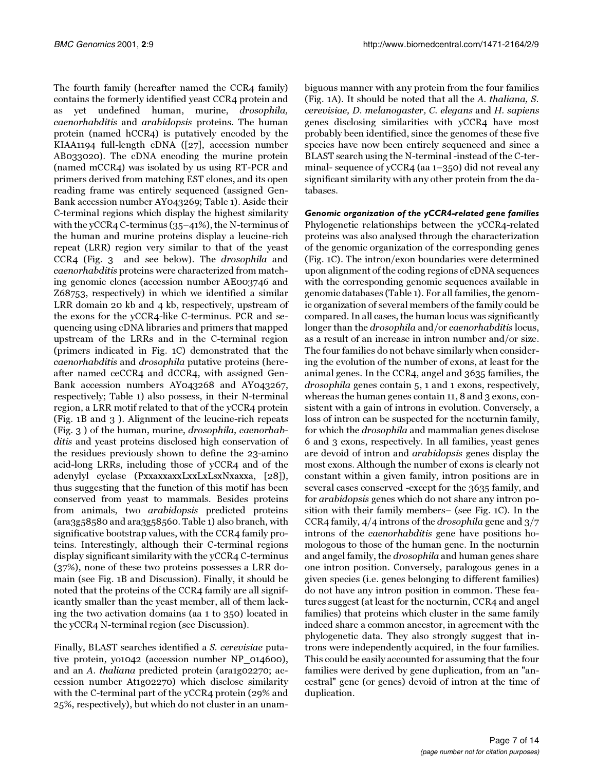The fourth family (hereafter named the CCR4 family) contains the formerly identified yeast CCR4 protein and as yet undefined human, murine, drosophila, caenorhabditis and arabidopsis proteins. The human protein (named hCCR4) is putatively encoded by the KIAA1194 full-length cDNA ([\[27\]](#page-13-23), accession number AB033020). The cDNA encoding the murine protein (named mCCR4) was isolated by us using RT-PCR and primers derived from matching EST clones, and its open reading frame was entirely sequenced (assigned Gen-Bank accession number AY043269; Table [1\)](#page-1-0). Aside their C-terminal regions which display the highest similarity with the yCCR4 C-terminus (35–41%), the N-terminus of the human and murine proteins display a leucine-rich repeat (LRR) region very similar to that of the yeast CCR4 (Fig. [3](#page-5-0) and see below). The drosophila and caenorhabditis proteins were characterized from matching genomic clones (accession number AE003746 and Z68753, respectively) in which we identified a similar LRR domain 20 kb and 4 kb, respectively, upstream of the exons for the yCCR4-like C-terminus. PCR and sequencing using cDNA libraries and primers that mapped upstream of the LRRs and in the C-terminal region (primers indicated in Fig. [1C](#page-2-0)) demonstrated that the caenorhabditis and drosophila putative proteins (hereafter named ceCCR4 and dCCR4, with assigned Gen-Bank accession numbers AY043268 and AY043267, respectively; Table [1](#page-1-0)) also possess, in their N-terminal region, a LRR motif related to that of the yCCR4 protein (Fig. [1](#page-2-0)B and [3](#page-5-0) ). Alignment of the leucine-rich repeats (Fig. [3](#page-5-0) ) of the human, murine, drosophila, caenorhabditis and yeast proteins disclosed high conservation of the residues previously shown to define the 23-amino acid-long LRRs, including those of yCCR4 and of the adenylyl cyclase (PxxaxxaxxLxxLxLsxNxaxxa, [\[28](#page-13-24)]), thus suggesting that the function of this motif has been conserved from yeast to mammals. Besides proteins from animals, two arabidopsis predicted proteins (ara3g58580 and ara3g58560. Table [1](#page-1-0)) also branch, with significative bootstrap values, with the CCR4 family proteins. Interestingly, although their C-terminal regions display significant similarity with the yCCR4 C-terminus (37%), none of these two proteins possesses a LRR domain (see Fig. [1](#page-2-0)B and Discussion). Finally, it should be noted that the proteins of the CCR4 family are all significantly smaller than the yeast member, all of them lacking the two activation domains (aa 1 to 350) located in the yCCR4 N-terminal region (see Discussion).

Finally, BLAST searches identified a S. cerevisiae putative protein, yo1042 (accession number NP\_014600), and an A. thaliana predicted protein (ara1g02270; accession number At1g02270) which disclose similarity with the C-terminal part of the yCCR4 protein (29% and 25%, respectively), but which do not cluster in an unam-

biguous manner with any protein from the four families (Fig. [1](#page-2-0)A). It should be noted that all the A. thaliana, S. cerevisiae, D. melanogaster, C. elegans and H. sapiens genes disclosing similarities with yCCR4 have most probably been identified, since the genomes of these five species have now been entirely sequenced and since a BLAST search using the N-terminal -instead of the C-terminal- sequence of yCCR4 (aa 1–350) did not reveal any significant similarity with any other protein from the databases.

*Genomic organization of the yCCR4-related gene families* Phylogenetic relationships between the yCCR4-related proteins was also analysed through the characterization of the genomic organization of the corresponding genes (Fig. [1](#page-2-0)C). The intron/exon boundaries were determined upon alignment of the coding regions of cDNA sequences with the corresponding genomic sequences available in genomic databases (Table [1](#page-1-0)). For all families, the genomic organization of several members of the family could be compared. In all cases, the human locus was significantly longer than the *drosophila* and/or caenorhabditis locus, as a result of an increase in intron number and/or size. The four families do not behave similarly when considering the evolution of the number of exons, at least for the animal genes. In the CCR4, angel and 3635 families, the drosophila genes contain 5, 1 and 1 exons, respectively, whereas the human genes contain 11, 8 and 3 exons, consistent with a gain of introns in evolution. Conversely, a loss of intron can be suspected for the nocturnin family, for which the drosophila and mammalian genes disclose 6 and 3 exons, respectively. In all families, yeast genes are devoid of intron and arabidopsis genes display the most exons. Although the number of exons is clearly not constant within a given family, intron positions are in several cases conserved -except for the 3635 family, and for arabidopsis genes which do not share any intron position with their family members– (see Fig. [1C](#page-2-0)). In the CCR4 family,  $4/4$  introns of the *drosophila* gene and  $3/7$ introns of the caenorhabditis gene have positions homologous to those of the human gene. In the nocturnin and angel family, the drosophila and human genes share one intron position. Conversely, paralogous genes in a given species (i.e. genes belonging to different families) do not have any intron position in common. These features suggest (at least for the nocturnin, CCR4 and angel families) that proteins which cluster in the same family indeed share a common ancestor, in agreement with the phylogenetic data. They also strongly suggest that introns were independently acquired, in the four families. This could be easily accounted for assuming that the four families were derived by gene duplication, from an "ancestral" gene (or genes) devoid of intron at the time of duplication.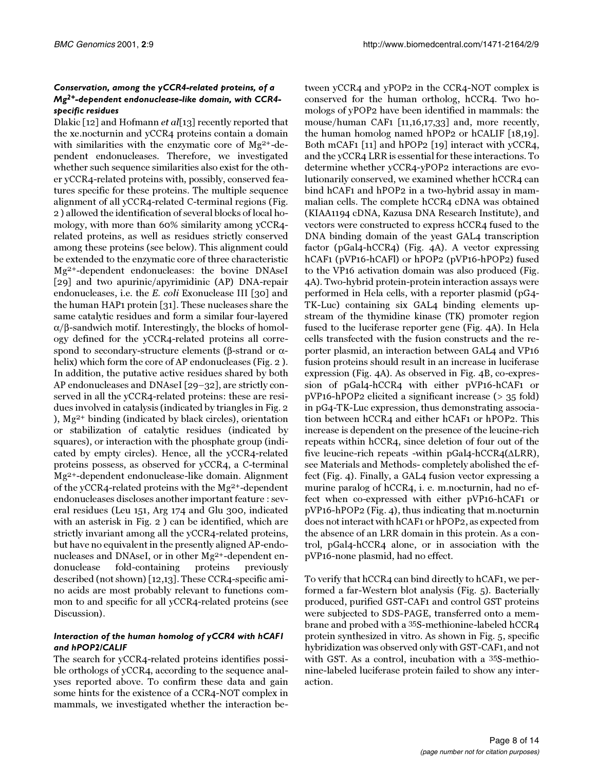# *Conservation, among the yCCR4-related proteins, of a Mg2+-dependent endonuclease-like domain, with CCR4 specific residues*

Dlakic [\[12](#page-13-11)] and Hofmann *et al*[[13](#page-13-12)] recently reported that the xe.nocturnin and yCCR4 proteins contain a domain with similarities with the enzymatic core of Mg2+-dependent endonucleases. Therefore, we investigated whether such sequence similarities also exist for the other yCCR4-related proteins with, possibly, conserved features specific for these proteins. The multiple sequence alignment of all yCCR4-related C-terminal regions (Fig. [2](#page-3-0) ) allowed the identification of several blocks of local homology, with more than 60% similarity among yCCR4 related proteins, as well as residues strictly conserved among these proteins (see below). This alignment could be extended to the enzymatic core of three characteristic Mg2+-dependent endonucleases: the bovine DNAseI [[29\]](#page-13-25) and two apurinic/apyrimidinic (AP) DNA-repair endonucleases, i.e. the E. coli Exonuclease III [[30\]](#page-13-21) and the human HAP1 protein [[31](#page-13-20)]. These nucleases share the same catalytic residues and form a similar four-layered α/β-sandwich motif. Interestingly, the blocks of homology defined for the yCCR4-related proteins all correspond to secondary-structure elements (β-strand or  $α$ helix) which form the core of AP endonucleases (Fig. [2](#page-3-0) ). In addition, the putative active residues shared by both AP endonucleases and DNAseI [[29–](#page-13-25)[32](#page-13-26)], are strictly conserved in all the yCCR4-related proteins: these are residues involved in catalysis (indicated by triangles in Fig. [2](#page-3-0) ), Mg2+ binding (indicated by black circles), orientation or stabilization of catalytic residues (indicated by squares), or interaction with the phosphate group (indicated by empty circles). Hence, all the yCCR4-related proteins possess, as observed for yCCR4, a C-terminal Mg2+-dependent endonuclease-like domain. Alignment of the yCCR4-related proteins with the Mg2+-dependent endonucleases discloses another important feature : several residues (Leu 151, Arg 174 and Glu 300, indicated with an asterisk in Fig. [2](#page-3-0) ) can be identified, which are strictly invariant among all the yCCR4-related proteins, but have no equivalent in the presently aligned AP-endonucleases and DNAseI, or in other Mg2+-dependent endonuclease fold-containing proteins previously described (not shown) [[12](#page-13-11)[,13\]](#page-13-12). These CCR4-specific amino acids are most probably relevant to functions common to and specific for all yCCR4-related proteins (see Discussion).

# *Interaction of the human homolog of yCCR4 with hCAF1 and hPOP2/CALIF*

The search for yCCR4-related proteins identifies possible orthologs of yCCR4, according to the sequence analyses reported above. To confirm these data and gain some hints for the existence of a CCR4-NOT complex in mammals, we investigated whether the interaction be-

tween yCCR4 and yPOP2 in the CCR4-NOT complex is conserved for the human ortholog, hCCR4. Two homologs of yPOP2 have been identified in mammals: the mouse/human CAF1 [\[11](#page-13-10)[,16,](#page-13-15)[17](#page-13-27)[,33](#page-13-28)] and, more recently, the human homolog named hPOP2 or hCALIF [\[18](#page-13-29)[,19\]](#page-13-16). Both mCAF1 [\[11\]](#page-13-10) and hPOP2 [[19](#page-13-16)] interact with yCCR4, and the yCCR4 LRR is essential for these interactions. To determine whether yCCR4-yPOP2 interactions are evolutionarily conserved, we examined whether hCCR4 can bind hCAF1 and hPOP2 in a two-hybrid assay in mammalian cells. The complete hCCR4 cDNA was obtained (KIAA1194 cDNA, Kazusa DNA Research Institute), and vectors were constructed to express hCCR4 fused to the DNA binding domain of the yeast GAL4 transcription factor (pGal4-hCCR4) (Fig. [4A](#page-8-0)). A vector expressing hCAF1 (pVP16-hCAFl) or hPOP2 (pVP16-hPOP2) fused to the VP16 activation domain was also produced (Fig. [4](#page-8-0)A). Two-hybrid protein-protein interaction assays were performed in Hela cells, with a reporter plasmid (pG4- TK-Luc) containing six GAL4 binding elements upstream of the thymidine kinase (TK) promoter region fused to the luciferase reporter gene (Fig. [4A](#page-8-0)). In Hela cells transfected with the fusion constructs and the reporter plasmid, an interaction between GAL4 and VP16 fusion proteins should result in an increase in luciferase expression (Fig. [4](#page-8-0)A). As observed in Fig. [4](#page-8-0)B, co-expression of pGal4-hCCR4 with either pVP16-hCAF1 or pVP16-hPOP2 elicited a significant increase (> 35 fold) in pG4-TK-Luc expression, thus demonstrating association between hCCR4 and either hCAF1 or hPOP2. This increase is dependent on the presence of the leucine-rich repeats within hCCR4, since deletion of four out of the five leucine-rich repeats -within pGal4-hCCR4(∆LRR), see Materials and Methods- completely abolished the effect (Fig. [4](#page-8-0)). Finally, a GAL4 fusion vector expressing a murine paralog of hCCR4, i. e. m.nocturnin, had no effect when co-expressed with either pVP16-hCAF1 or pVP16-hPOP2 (Fig. [4\)](#page-8-0), thus indicating that m.nocturnin does not interact with hCAF1 or hPOP2, as expected from the absence of an LRR domain in this protein. As a control, pGal4-hCCR4 alone, or in association with the pVP16-none plasmid, had no effect.

To verify that hCCR4 can bind directly to hCAF1, we performed a far-Western blot analysis (Fig. [5](#page-9-0)). Bacterially produced, purified GST-CAF1 and control GST proteins were subjected to SDS-PAGE, transferred onto a membrane and probed with a 35S-methionine-labeled hCCR4 protein synthesized in vitro. As shown in Fig. [5](#page-9-0), specific hybridization was observed only with GST-CAF1, and not with GST. As a control, incubation with a 35S-methionine-labeled luciferase protein failed to show any interaction.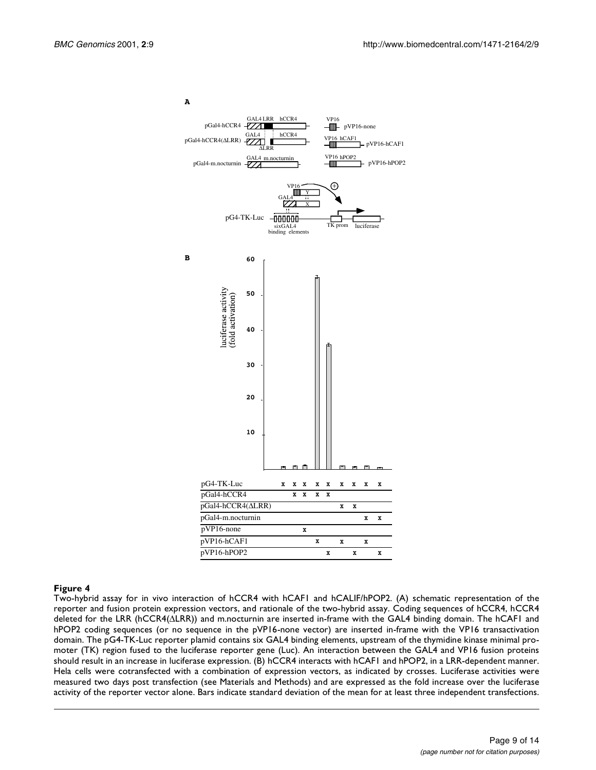

<span id="page-8-0"></span>Two-hybrid assay for in vivo interaction of hCCR4 with hCAF1 and hCALIF/hPOP2. (A) schematic representation of the reporter and fusion protein expression vectors, and rationale of the two-hybrid assay. Coding sequences of hCCR4, hCCR4 deleted for the LRR (hCCR4(∆LRR)) and m.nocturnin are inserted in-frame with the GAL4 binding domain. The hCAF1 and hPOP2 coding sequences (or no sequence in the pVP16-none vector) are inserted in-frame with the VP16 transactivation domain. The pG4-TK-Luc reporter plamid contains six GAL4 binding elements, upstream of the thymidine kinase minimal promoter (TK) region fused to the luciferase reporter gene (Luc). An interaction between the GAL4 and VP16 fusion proteins should result in an increase in luciferase expression. (B) hCCR4 interacts with hCAF1 and hPOP2, in a LRR-dependent manner. Hela cells were cotransfected with a combination of expression vectors, as indicated by crosses. Luciferase activities were measured two days post transfection (see Materials and Methods) and are expressed as the fold increase over the luciferase activity of the reporter vector alone. Bars indicate standard deviation of the mean for at least three independent transfections.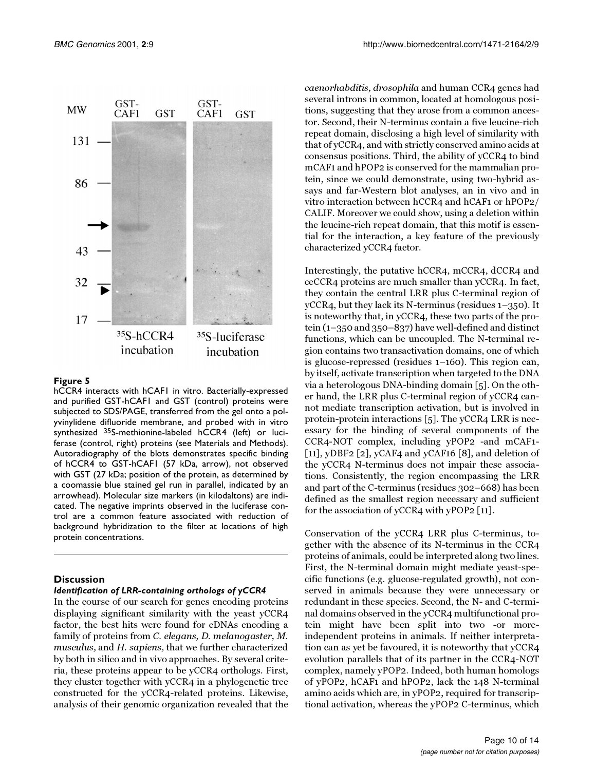

<span id="page-9-0"></span>hCCR4 interacts with hCAF1 in vitro. Bacterially-expressed and purified GST-hCAF1 and GST (control) proteins were subjected to SDS/PAGE, transferred from the gel onto a polyvinylidene difluoride membrane, and probed with in vitro synthesized 35S-methionine-labeled hCCR4 (left) or luciferase (control, right) proteins (see Materials and Methods). Autoradiography of the blots demonstrates specific binding of hCCR4 to GST-hCAF1 (57 kDa, arrow), not observed with GST (27 kDa; position of the protein, as determined by a coomassie blue stained gel run in parallel, indicated by an arrowhead). Molecular size markers (in kilodaltons) are indicated. The negative imprints observed in the luciferase control are a common feature associated with reduction of background hybridization to the filter at locations of high protein concentrations.

# **Discussion**

#### *Identification of LRR-containing orthologs of yCCR4*

In the course of our search for genes encoding proteins displaying significant similarity with the yeast yCCR4 factor, the best hits were found for cDNAs encoding a family of proteins from C. elegans, D. melanogaster, M. musculus, and H. sapiens, that we further characterized by both in silico and in vivo approaches. By several criteria, these proteins appear to be yCCR4 orthologs. First, they cluster together with yCCR4 in a phylogenetic tree constructed for the yCCR4-related proteins. Likewise, analysis of their genomic organization revealed that the caenorhabditis, drosophila and human CCR4 genes had several introns in common, located at homologous positions, suggesting that they arose from a common ancestor. Second, their N-terminus contain a five leucine-rich repeat domain, disclosing a high level of similarity with that of yCCR4, and with strictly conserved amino acids at consensus positions. Third, the ability of yCCR4 to bind mCAF1 and hPOP2 is conserved for the mammalian protein, since we could demonstrate, using two-hybrid assays and far-Western blot analyses, an in vivo and in vitro interaction between hCCR4 and hCAF1 or hPOP2/ CALIF. Moreover we could show, using a deletion within the leucine-rich repeat domain, that this motif is essential for the interaction, a key feature of the previously characterized yCCR4 factor.

Interestingly, the putative hCCR4, mCCR4, dCCR4 and ceCCR4 proteins are much smaller than yCCR4. In fact, they contain the central LRR plus C-terminal region of yCCR4, but they lack its N-terminus (residues 1–350). It is noteworthy that, in yCCR4, these two parts of the protein (1–350 and 350–837) have well-defined and distinct functions, which can be uncoupled. The N-terminal region contains two transactivation domains, one of which is glucose-repressed (residues 1–160). This region can, by itself, activate transcription when targeted to the DNA via a heterologous DNA-binding domain [[5\]](#page-13-4). On the other hand, the LRR plus C-terminal region of yCCR4 cannot mediate transcription activation, but is involved in protein-protein interactions [\[5\]](#page-13-4). The yCCR4 LRR is necessary for the binding of several components of the CCR4-NOT complex, including yPOP2 -and mCAF1-  $[11]$  $[11]$  $[11]$ , yDBF2  $[2]$ , yCAF4 and yCAF16  $[8]$  $[8]$ , and deletion of the yCCR4 N-terminus does not impair these associations. Consistently, the region encompassing the LRR and part of the C-terminus (residues 302–668) has been defined as the smallest region necessary and sufficient for the association of yCCR4 with yPOP2 [[11](#page-13-10)].

Conservation of the yCCR4 LRR plus C-terminus, together with the absence of its N-terminus in the CCR4 proteins of animals, could be interpreted along two lines. First, the N-terminal domain might mediate yeast-specific functions (e.g. glucose-regulated growth), not conserved in animals because they were unnecessary or redundant in these species. Second, the N- and C-terminal domains observed in the yCCR4 multifunctional protein might have been split into two -or moreindependent proteins in animals. If neither interpretation can as yet be favoured, it is noteworthy that yCCR4 evolution parallels that of its partner in the CCR4-NOT complex, namely yPOP2. Indeed, both human homologs of yPOP2, hCAF1 and hPOP2, lack the 148 N-terminal amino acids which are, in yPOP2, required for transcriptional activation, whereas the yPOP2 C-terminus, which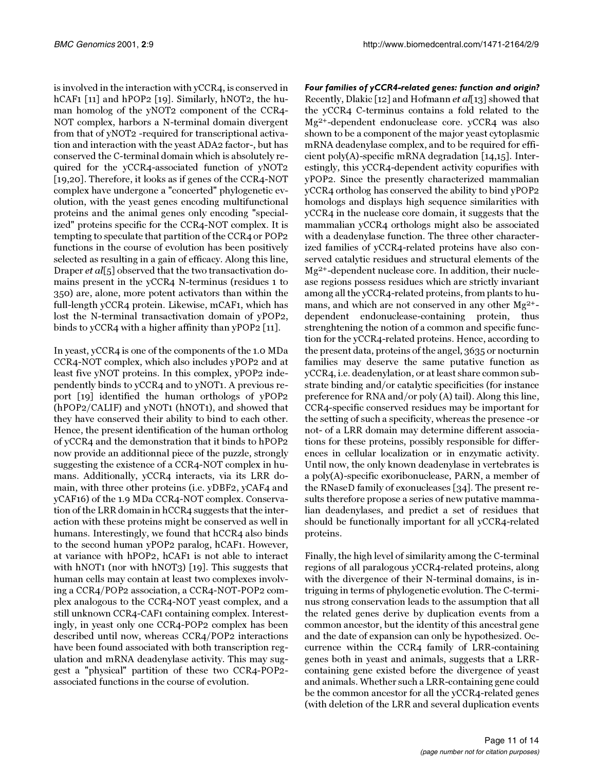is involved in the interaction with yCCR4, is conserved in hCAF1 [\[11\]](#page-13-10) and hPOP2 [\[19](#page-13-16)]. Similarly, hNOT2, the human homolog of the yNOT2 component of the CCR4- NOT complex, harbors a N-terminal domain divergent from that of yNOT2 -required for transcriptional activation and interaction with the yeast ADA2 factor-, but has conserved the C-terminal domain which is absolutely required for the yCCR4-associated function of yNOT2 [[19](#page-13-16)[,20\]](#page-13-17). Therefore, it looks as if genes of the CCR4-NOT complex have undergone a "concerted" phylogenetic evolution, with the yeast genes encoding multifunctional proteins and the animal genes only encoding "specialized" proteins specific for the CCR4-NOT complex. It is tempting to speculate that partition of the CCR4 or POP2 functions in the course of evolution has been positively selected as resulting in a gain of efficacy. Along this line, Draper *et al*[[5\]](#page-13-4) observed that the two transactivation domains present in the yCCR4 N-terminus (residues 1 to 350) are, alone, more potent activators than within the full-length yCCR4 protein. Likewise, mCAF1, which has lost the N-terminal transactivation domain of yPOP2, binds to yCCR4 with a higher affinity than yPOP2 [[11](#page-13-10)].

In yeast, yCCR4 is one of the components of the 1.0 MDa CCR4-NOT complex, which also includes yPOP2 and at least five yNOT proteins. In this complex, yPOP2 independently binds to yCCR4 and to yNOT1. A previous report [\[19\]](#page-13-16) identified the human orthologs of yPOP2 (hPOP2/CALIF) and yNOT1 (hNOT1), and showed that they have conserved their ability to bind to each other. Hence, the present identification of the human ortholog of yCCR4 and the demonstration that it binds to hPOP2 now provide an additionnal piece of the puzzle, strongly suggesting the existence of a CCR4-NOT complex in humans. Additionally, yCCR4 interacts, via its LRR domain, with three other proteins (i.e. yDBF2, yCAF4 and yCAF16) of the 1.9 MDa CCR4-NOT complex. Conservation of the LRR domain in hCCR4 suggests that the interaction with these proteins might be conserved as well in humans. Interestingly, we found that hCCR4 also binds to the second human yPOP2 paralog, hCAF1. However, at variance with hPOP2, hCAF1 is not able to interact with hNOT1 (nor with hNOT3) [\[19\]](#page-13-16). This suggests that human cells may contain at least two complexes involving a CCR4/POP2 association, a CCR4-NOT-POP2 complex analogous to the CCR4-NOT yeast complex, and a still unknown CCR4-CAF1 containing complex. Interestingly, in yeast only one CCR4-POP2 complex has been described until now, whereas CCR4/POP2 interactions have been found associated with both transcription regulation and mRNA deadenylase activity. This may suggest a "physical" partition of these two CCR4-POP2 associated functions in the course of evolution.

*Four families of yCCR4-related genes: function and origin?* Recently, Dlakic [\[12\]](#page-13-11) and Hofmann et al[[13\]](#page-13-12) showed that the yCCR4 C-terminus contains a fold related to the Mg2+-dependent endonuclease core. yCCR4 was also shown to be a component of the major yeast cytoplasmic mRNA deadenylase complex, and to be required for efficient poly(A)-specific mRNA degradation [\[14](#page-13-13)[,15\]](#page-13-14). Interestingly, this yCCR4-dependent activity copurifies with yPOP2. Since the presently characterized mammalian yCCR4 ortholog has conserved the ability to bind yPOP2 homologs and displays high sequence similarities with yCCR4 in the nuclease core domain, it suggests that the mammalian yCCR4 orthologs might also be associated with a deadenylase function. The three other characterized families of yCCR4-related proteins have also conserved catalytic residues and structural elements of the Mg2+-dependent nuclease core. In addition, their nuclease regions possess residues which are strictly invariant among all the yCCR4-related proteins, from plants to humans, and which are not conserved in any other Mg2+ dependent endonuclease-containing protein, thus strenghtening the notion of a common and specific function for the yCCR4-related proteins. Hence, according to the present data, proteins of the angel, 3635 or nocturnin families may deserve the same putative function as yCCR4, i.e. deadenylation, or at least share common substrate binding and/or catalytic specificities (for instance preference for RNA and/or poly (A) tail). Along this line, CCR4-specific conserved residues may be important for the setting of such a specificity, whereas the presence -or not- of a LRR domain may determine different associations for these proteins, possibly responsible for differences in cellular localization or in enzymatic activity. Until now, the only known deadenylase in vertebrates is a poly(A)-specific exoribonuclease, PARN, a member of the RNaseD family of exonucleases [[34](#page-13-30)]. The present results therefore propose a series of new putative mammalian deadenylases, and predict a set of residues that should be functionally important for all yCCR4-related proteins.

Finally, the high level of similarity among the C-terminal regions of all paralogous yCCR4-related proteins, along with the divergence of their N-terminal domains, is intriguing in terms of phylogenetic evolution. The C-terminus strong conservation leads to the assumption that all the related genes derive by duplication events from a common ancestor, but the identity of this ancestral gene and the date of expansion can only be hypothesized. Occurrence within the CCR4 family of LRR-containing genes both in yeast and animals, suggests that a LRRcontaining gene existed before the divergence of yeast and animals. Whether such a LRR-containing gene could be the common ancestor for all the yCCR4-related genes (with deletion of the LRR and several duplication events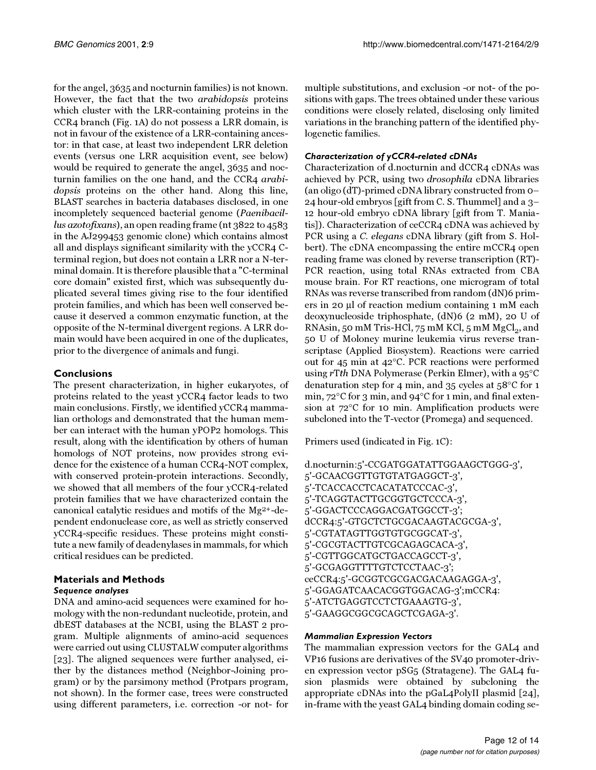for the angel, 3635 and nocturnin families) is not known. However, the fact that the two arabidopsis proteins which cluster with the LRR-containing proteins in the CCR4 branch (Fig. [1](#page-2-0)A) do not possess a LRR domain, is not in favour of the existence of a LRR-containing ancestor: in that case, at least two independent LRR deletion events (versus one LRR acquisition event, see below) would be required to generate the angel, 3635 and nocturnin families on the one hand, and the CCR4 arabidopsis proteins on the other hand. Along this line, BLAST searches in bacteria databases disclosed, in one incompletely sequenced bacterial genome (Paenibacillus azotofixans), an open reading frame (nt 3822 to 4583 in the AJ299453 genomic clone) which contains almost all and displays significant similarity with the yCCR4 Cterminal region, but does not contain a LRR nor a N-terminal domain. It is therefore plausible that a "C-terminal core domain" existed first, which was subsequently duplicated several times giving rise to the four identified protein families, and which has been well conserved because it deserved a common enzymatic function, at the opposite of the N-terminal divergent regions. A LRR domain would have been acquired in one of the duplicates, prior to the divergence of animals and fungi.

# **Conclusions**

The present characterization, in higher eukaryotes, of proteins related to the yeast yCCR4 factor leads to two main conclusions. Firstly, we identified yCCR4 mammalian orthologs and demonstrated that the human member can interact with the human yPOP2 homologs. This result, along with the identification by others of human homologs of NOT proteins, now provides strong evidence for the existence of a human CCR4-NOT complex, with conserved protein-protein interactions. Secondly, we showed that all members of the four yCCR4-related protein families that we have characterized contain the canonical catalytic residues and motifs of the Mg2+-dependent endonuclease core, as well as strictly conserved yCCR4-specific residues. These proteins might constitute a new family of deadenylases in mammals, for which critical residues can be predicted.

# **Materials and Methods**

# *Sequence analyses*

DNA and amino-acid sequences were examined for homology with the non-redundant nucleotide, protein, and dbEST databases at the NCBI, using the BLAST 2 program. Multiple alignments of amino-acid sequences were carried out using CLUSTALW computer algorithms [[23\]](#page-13-31). The aligned sequences were further analysed, either by the distances method (Neighbor-Joining program) or by the parsimony method (Protpars program, not shown). In the former case, trees were constructed using different parameters, i.e. correction -or not- for

multiple substitutions, and exclusion -or not- of the positions with gaps. The trees obtained under these various conditions were closely related, disclosing only limited variations in the branching pattern of the identified phylogenetic families.

# *Characterization of yCCR4-related cDNAs*

Characterization of d.nocturnin and dCCR4 cDNAs was achieved by PCR, using two drosophila cDNA libraries (an oligo (dT)-primed cDNA library constructed from 0– 24 hour-old embryos [gift from C. S. Thummel] and a 3– 12 hour-old embryo cDNA library [gift from T. Maniatis]). Characterization of ceCCR4 cDNA was achieved by PCR using a C. elegans cDNA library (gift from S. Holbert). The cDNA encompassing the entire mCCR4 open reading frame was cloned by reverse transcription (RT)- PCR reaction, using total RNAs extracted from CBA mouse brain. For RT reactions, one microgram of total RNAs was reverse transcribed from random (dN)6 primers in 20 µl of reaction medium containing 1 mM each deoxynucleoside triphosphate, (dN)6 (2 mM), 20 U of RNAsin, 50 mM Tris-HCl, 75 mM KCl, 5 mM  $MgCl<sub>2</sub>$ , and 50 U of Moloney murine leukemia virus reverse transcriptase (Applied Biosystem). Reactions were carried out for 45 min at 42°C. PCR reactions were performed using rTth DNA Polymerase (Perkin Elmer), with a 95°C denaturation step for 4 min, and 35 cycles at 58°C for 1 min, 72°C for 3 min, and 94°C for 1 min, and final extension at 72°C for 10 min. Amplification products were subcloned into the T-vector (Promega) and sequenced.

Primers used (indicated in Fig. [1C](#page-2-0)):

d.nocturnin:5'-CCGATGGATATTGGAAGCTGGG-3', 5'-GCAACGGTTGTGTATGAGGCT-3', 5'-TCACCACCTCACATATCCCAC-3', 5'-TCAGGTACTTGCGGTGCTCCCA-3', 5'-GGACTCCCAGGACGATGGCCT-3'; dCCR4:5'-GTGCTCTGCGACAAGTACGCGA-3', 5'-CGTATAGTTGGTGTGCGGCAT-3', 5'-CGCGTACTTGTCGCAGAGCACA-3', 5'-CGTTGGCATGCTGACCAGCCT-3', 5'-GCGAGGTTTTGTCTCCTAAC-3'; ceCCR4:5'-GCGGTCGCGACGACAAGAGGA-3', 5'-GGAGATCAACACGGTGGACAG-3';mCCR4: 5'-ATCTGAGGTCCTCTGAAAGTG-3', 5'-GAAGGCGGCGCAGCTCGAGA-3'.

# *Mammalian Expression Vectors*

The mammalian expression vectors for the GAL4 and VP16 fusions are derivatives of the SV40 promoter-driven expression vector pSG5 (Stratagene). The GAL4 fusion plasmids were obtained by subcloning the appropriate cDNAs into the pGaL4PolyII plasmid [[24\]](#page-13-32), in-frame with the yeast GAL4 binding domain coding se-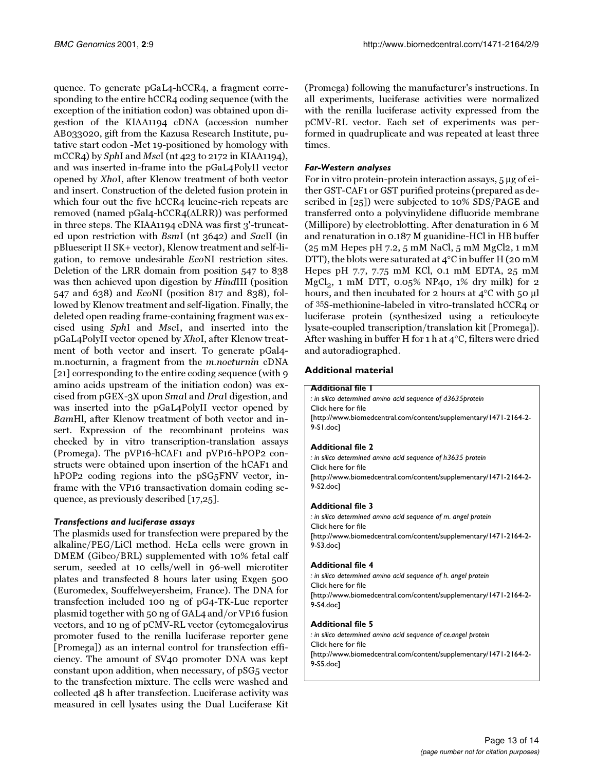quence. To generate pGaL4-hCCR4, a fragment corresponding to the entire hCCR4 coding sequence (with the exception of the initiation codon) was obtained upon digestion of the KIAA1194 cDNA (accession number AB033020, gift from the Kazusa Research Institute, putative start codon -Met 19-positioned by homology with mCCR4) by SphI and MscI (nt 423 to 2172 in KIAA1194), and was inserted in-frame into the pGaL4PolyII vector opened by XhoI, after Klenow treatment of both vector and insert. Construction of the deleted fusion protein in which four out the five hCCR4 leucine-rich repeats are removed (named pGal4-hCCR4(∆LRR)) was performed in three steps. The KIAA1194 cDNA was first 3'-truncated upon restriction with BsmI (nt 3642) and SacII (in pBluescript II SK+ vector), Klenow treatment and self-ligation, to remove undesirable EcoNI restriction sites. Deletion of the LRR domain from position 547 to 838 was then achieved upon digestion by HindIII (position 547 and 638) and EcoNI (position 817 and 838), followed by Klenow treatment and self-ligation. Finally, the deleted open reading frame-containing fragment was excised using SphI and MscI, and inserted into the pGaL4PolyII vector opened by XhoI, after Klenow treatment of both vector and insert. To generate pGal4 m.nocturnin, a fragment from the m.nocturnin cDNA [[21](#page-13-18)] corresponding to the entire coding sequence (with 9 amino acids upstream of the initiation codon) was excised from pGEX-3X upon SmaI and DraI digestion, and was inserted into the pGaL4PolyII vector opened by BamHl, after Klenow treatment of both vector and insert. Expression of the recombinant proteins was checked by in vitro transcription-translation assays (Promega). The pVP16-hCAF1 and pVP16-hPOP2 constructs were obtained upon insertion of the hCAF1 and hPOP2 coding regions into the pSG<sub>5</sub>FNV vector, inframe with the VP16 transactivation domain coding sequence, as previously described [[17,](#page-13-27)[25](#page-13-33)].

# *Transfections and luciferase assays*

The plasmids used for transfection were prepared by the alkaline/PEG/LiCl method. HeLa cells were grown in DMEM (Gibco/BRL) supplemented with 10% fetal calf serum, seeded at 10 cells/well in 96-well microtiter plates and transfected 8 hours later using Exgen 500 (Euromedex, Souffelweyersheim, France). The DNA for transfection included 100 ng of pG4-TK-Luc reporter plasmid together with 50 ng of GAL4 and/or VP16 fusion vectors, and 10 ng of pCMV-RL vector (cytomegalovirus promoter fused to the renilla luciferase reporter gene [Promega]) as an internal control for transfection efficiency. The amount of SV40 promoter DNA was kept constant upon addition, when necessary, of pSG5 vector to the transfection mixture. The cells were washed and collected 48 h after transfection. Luciferase activity was measured in cell lysates using the Dual Luciferase Kit (Promega) following the manufacturer's instructions. In all experiments, luciferase activities were normalized with the renilla luciferase activity expressed from the pCMV-RL vector. Each set of experiments was performed in quadruplicate and was repeated at least three times.

# *Far-Western analyses*

For in vitro protein-protein interaction assays, 5 µg of either GST-CAF1 or GST purified proteins (prepared as described in [\[25\]](#page-13-33)) were subjected to 10% SDS/PAGE and transferred onto a polyvinylidene difluoride membrane (Millipore) by electroblotting. After denaturation in 6 M and renaturation in 0.187 M guanidine-HCl in HB buffer (25 mM Hepes pH 7.2, 5 mM NaCl, 5 mM MgCl2, 1 mM DTT), the blots were saturated at 4°C in buffer H (20 mM Hepes pH 7.7, 7.75 mM KCl, 0.1 mM EDTA, 25 mM  $MgCl<sub>2</sub>$ , 1 mM DTT, 0.05% NP40, 1% dry milk) for 2 hours, and then incubated for 2 hours at 4°C with 50 µl of 35S-methionine-labeled in vitro-translated hCCR4 or luciferase protein (synthesized using a reticulocyte lysate-coupled transcription/translation kit [Promega]). After washing in buffer H for 1 h at 4°C, filters were dried and autoradiographed.

# <span id="page-12-0"></span>**Additional material**

### **Additional file 1**

*: in silico determined amino acid sequence of d3635protein* [Click here for file](http://www.biomedcentral.com/content/supplementary/1471-2164-2-9-S1.doc) [\[http://www.biomedcentral.com/content/supplementary/1471-2164-2-](http://www.biomedcentral.com/content/supplementary/1471-2164-2-9-S1.doc) 9-S1.doc]

# <span id="page-12-1"></span>**Additional file 2**

*: in silico determined amino acid sequence of h3635 protein* [Click here for file](http://www.biomedcentral.com/content/supplementary/1471-2164-2-9-S2.doc) [\[http://www.biomedcentral.com/content/supplementary/1471-2164-2-](http://www.biomedcentral.com/content/supplementary/1471-2164-2-9-S2.doc) 9-S2.doc]

### <span id="page-12-2"></span>**Additional file 3**

*: in silico determined amino acid sequence of m. angel protein* [Click here for file](http://www.biomedcentral.com/content/supplementary/1471-2164-2-9-S3.doc) [\[http://www.biomedcentral.com/content/supplementary/1471-2164-2-](http://www.biomedcentral.com/content/supplementary/1471-2164-2-9-S3.doc) 9-S3.doc]

### <span id="page-12-3"></span>**Additional file 4**

*: in silico determined amino acid sequence of h. angel protein* [Click here for file](http://www.biomedcentral.com/content/supplementary/1471-2164-2-9-S4.doc) [\[http://www.biomedcentral.com/content/supplementary/1471-2164-2-](http://www.biomedcentral.com/content/supplementary/1471-2164-2-9-S4.doc) 9-S4.doc]

### <span id="page-12-4"></span>**Additional file 5**

*: in silico determined amino acid sequence of ce.angel protein* [Click here for file](http://www.biomedcentral.com/content/supplementary/1471-2164-2-9-S5.doc) [\[http://www.biomedcentral.com/content/supplementary/1471-2164-2-](http://www.biomedcentral.com/content/supplementary/1471-2164-2-9-S5.doc) 9-S5.doc]